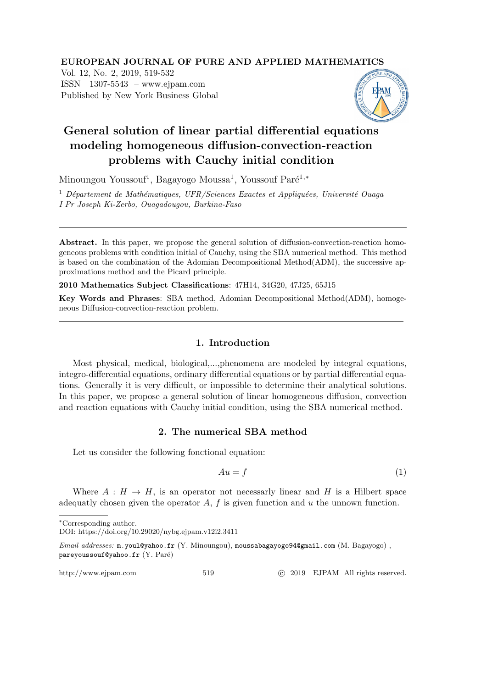# EUROPEAN JOURNAL OF PURE AND APPLIED MATHEMATICS

Vol. 12, No. 2, 2019, 519-532 ISSN 1307-5543 – www.ejpam.com Published by New York Business Global



# General solution of linear partial differential equations modeling homogeneous diffusion-convection-reaction problems with Cauchy initial condition

Minoungou Youssouf<sup>1</sup>, Bagayogo Moussa<sup>1</sup>, Youssouf Paré<sup>1,\*</sup>

<sup>1</sup> Département de Mathématiques, UFR/Sciences Exactes et Appliquées, Université Ouaga I Pr Joseph Ki-Zerbo, Ouagadougou, Burkina-Faso

Abstract. In this paper, we propose the general solution of diffusion-convection-reaction homogeneous problems with condition initial of Cauchy, using the SBA numerical method. This method is based on the combination of the Adomian Decompositional Method(ADM), the successive approximations method and the Picard principle.

2010 Mathematics Subject Classifications: 47H14, 34G20, 47J25, 65J15

Key Words and Phrases: SBA method, Adomian Decompositional Method(ADM), homogeneous Diffusion-convection-reaction problem.

# 1. Introduction

Most physical, medical, biological,...,phenomena are modeled by integral equations, integro-differential equations, ordinary differential equations or by partial differential equations. Generally it is very difficult, or impossible to determine their analytical solutions. In this paper, we propose a general solution of linear homogeneous diffusion, convection and reaction equations with Cauchy initial condition, using the SBA numerical method.

## 2. The numerical SBA method

Let us consider the following fonctional equation:

$$
Au = f \tag{1}
$$

Where  $A : H \to H$ , is an operator not necessarly linear and H is a Hilbert space adequatly chosen given the operator  $A$ ,  $f$  is given function and  $u$  the unnown function.

Email addresses: m.youl@yahoo.fr (Y. Minoungou), moussabagayogo94@gmail.com (M. Bagayogo) , pareyoussouf@yahoo.fr (Y. Paré)

http://www.ejpam.com 519 c 2019 EJPAM All rights reserved.

<sup>∗</sup>Corresponding author.

DOI: https://doi.org/10.29020/nybg.ejpam.v12i2.3411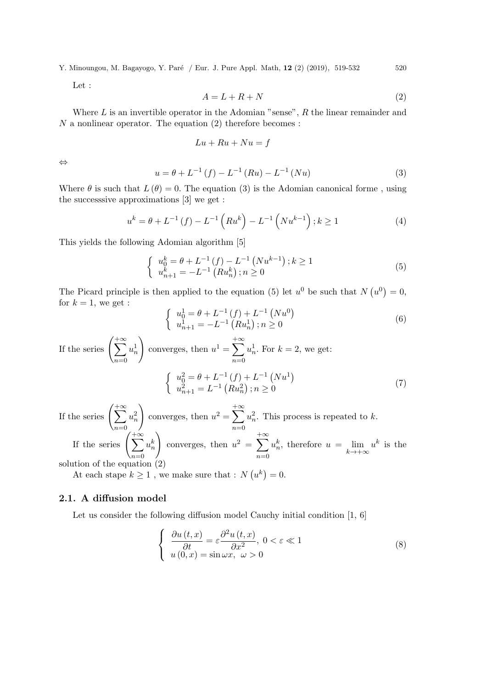Let :

$$
A = L + R + N \tag{2}
$$

Where  $L$  is an invertible operator in the Adomian "sense",  $R$  the linear remainder and  $N$  a nonlinear operator. The equation  $(2)$  therefore becomes :

$$
Lu + Ru + Nu = f
$$

⇔

$$
u = \theta + L^{-1}(f) - L^{-1}(Ru) - L^{-1}(Nu)
$$
\n(3)

Where  $\theta$  is such that  $L(\theta) = 0$ . The equation (3) is the Adomian canonical forme, using the successsive approximations [3] we get :

$$
u^{k} = \theta + L^{-1}(f) - L^{-1}\left(Ru^{k}\right) - L^{-1}\left(Nu^{k-1}\right); k \ge 1
$$
\n(4)

This yields the following Adomian algorithm [5]

$$
\begin{cases}\n u_0^k = \theta + L^{-1} (f) - L^{-1} (Nu^{k-1}) ; k \ge 1 \\
 u_{n+1}^k = -L^{-1} (Ru_n^k) ; n \ge 0\n\end{cases}
$$
\n(5)

The Picard principle is then applied to the equation (5) let  $u^0$  be such that  $N(u^0) = 0$ , for  $k = 1$ , we get :

$$
\begin{cases}\n u_0^1 = \theta + L^{-1}(f) + L^{-1}(Nu^0) \\
 u_{n+1}^1 = -L^{-1}(Ru_n^1); n \ge 0\n\end{cases}
$$
\n(6)

If the series  $\left(\sum_{n=1}^{\infty} \right)$  $n=0$  $u^1_n$  $\setminus$ converges, then  $u^1 = \sum$  $+\infty$  $n=0$  $u_n^1$ . For  $k = 2$ , we get:  $\int u_0^2 = \theta + L^{-1}(f) + L^{-1}(Nu^1)$  $u_{n+1}^2 = L^{-1} (Ru_n^2)$ ;  $n \ge 0$ (7)

If the series  $\left(\sum_{n=1}^{\infty} \right)$  $n=0$  $u_n^2$  $\setminus$ converges, then  $u^2 = \sum$  $+\infty$  $n=0$  $u_n^2$ . This process is repeated to k. If the series  $\left(\sum^{+\infty} \right)$  $n=0$  $u_n^k$  $\setminus$ converges, then  $u^2 = \sum$  $+\infty$  $n=0$  $u_n^k$ , therefore  $u = \lim_{k \to +\infty} u^k$  is the solution of the equation (2)

At each stape  $k \geq 1$ , we make sure that :  $N(u^k) = 0$ .

# 2.1. A diffusion model

Let us consider the following diffusion model Cauchy initial condition [1, 6]

$$
\begin{cases}\n\frac{\partial u(t,x)}{\partial t} = \varepsilon \frac{\partial^2 u(t,x)}{\partial x^2}, \ 0 < \varepsilon \ll 1 \\
u(0,x) = \sin \omega x, \ \omega > 0\n\end{cases}
$$
\n(8)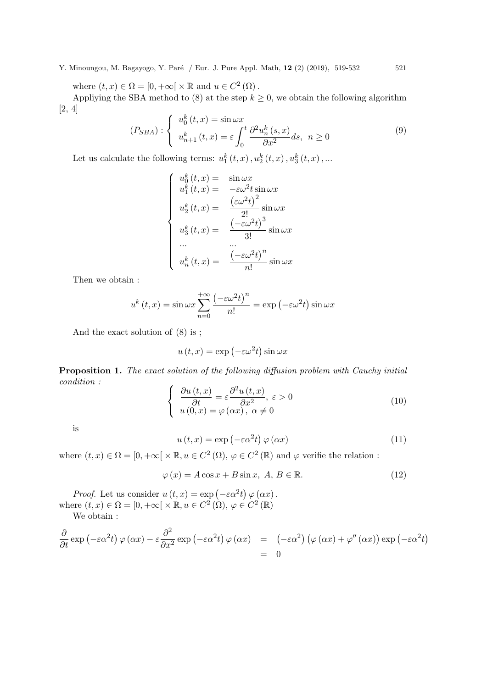where  $(t, x) \in \Omega = [0, +\infty[ \times \mathbb{R} \text{ and } u \in C^2(\Omega)].$ 

Appliying the SBA method to (8) at the step  $k \geq 0$ , we obtain the following algorithm [2, 4]

$$
(P_{SBA}) : \begin{cases} u_0^k(t,x) = \sin \omega x \\ u_{n+1}^k(t,x) = \varepsilon \int_0^t \frac{\partial^2 u_n^k(s,x)}{\partial x^2} ds, \ n \ge 0 \end{cases} \tag{9}
$$

Let us calculate the following terms:  $u_1^k(t,x)$ ,  $u_2^k(t,x)$ ,  $u_3^k(t,x)$ ,...

$$
\begin{cases}\nu_0^k(t,x) = \sin \omega x \\
u_1^k(t,x) = -\varepsilon \omega^2 t \sin \omega x \\
u_2^k(t,x) = \frac{(\varepsilon \omega^2 t)^2}{2!} \sin \omega x \\
u_3^k(t,x) = \frac{(-\varepsilon \omega^2 t)^3}{3!} \sin \omega x \\
\cdots \\
u_n^k(t,x) = \frac{(-\varepsilon \omega^2 t)^n}{n!} \sin \omega x\n\end{cases}
$$

Then we obtain :

$$
u^{k}(t,x) = \sin \omega x \sum_{n=0}^{+\infty} \frac{(-\varepsilon \omega^{2} t)^{n}}{n!} = \exp(-\varepsilon \omega^{2} t) \sin \omega x
$$

And the exact solution of (8) is ;

$$
u(t,x) = \exp(-\varepsilon \omega^2 t) \sin \omega x
$$

Proposition 1. The exact solution of the following diffusion problem with Cauchy initial condition :

$$
\begin{cases}\n\frac{\partial u(t,x)}{\partial t} = \varepsilon \frac{\partial^2 u(t,x)}{\partial x^2}, \ \varepsilon > 0 \\
u(0,x) = \varphi(\alpha x), \ \alpha \neq 0\n\end{cases}
$$
\n(10)

is

$$
u(t,x) = \exp(-\varepsilon \alpha^2 t) \varphi(\alpha x)
$$
 (11)

where  $(t, x) \in \Omega = [0, +\infty[ \times \mathbb{R}, u \in C^2(\Omega), \varphi \in C^2(\mathbb{R})]$  and  $\varphi$  verifie the relation:

$$
\varphi(x) = A\cos x + B\sin x, \ A, B \in \mathbb{R}.\tag{12}
$$

*Proof.* Let us consider  $u(t, x) = \exp(-\varepsilon \alpha^2 t) \varphi(\alpha x)$ . where  $(t, x) \in \Omega = [0, +\infty[ \times \mathbb{R}, u \in C^2(\Omega), \varphi \in C^2(\mathbb{R})]$ 

We obtain :

$$
\frac{\partial}{\partial t} \exp(-\varepsilon \alpha^2 t) \varphi(\alpha x) - \varepsilon \frac{\partial^2}{\partial x^2} \exp(-\varepsilon \alpha^2 t) \varphi(\alpha x) = (-\varepsilon \alpha^2) (\varphi(\alpha x) + \varphi''(\alpha x)) \exp(-\varepsilon \alpha^2 t)
$$
  
= 0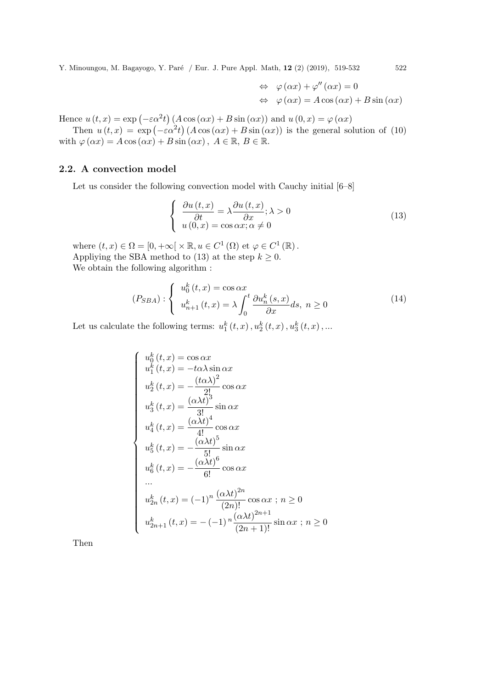$$
\Leftrightarrow \varphi(\alpha x) + \varphi''(\alpha x) = 0
$$
  

$$
\Leftrightarrow \varphi(\alpha x) = A \cos(\alpha x) + B \sin(\alpha x)
$$

Hence  $u(t, x) = \exp(-\varepsilon \alpha^2 t) (A \cos(\alpha x) + B \sin(\alpha x))$  and  $u(0, x) = \varphi(\alpha x)$ 

Then  $u(t, x) = \exp(-\varepsilon \alpha^2 t) (A \cos(\alpha x) + B \sin(\alpha x))$  is the general solution of (10) with  $\varphi(\alpha x) = A \cos(\alpha x) + B \sin(\alpha x)$ ,  $A \in \mathbb{R}$ ,  $B \in \mathbb{R}$ .

# 2.2. A convection model

Let us consider the following convection model with Cauchy initial [6–8]

$$
\begin{cases}\n\frac{\partial u(t,x)}{\partial t} = \lambda \frac{\partial u(t,x)}{\partial x}; \lambda > 0 \\
u(0,x) = \cos \alpha x; \alpha \neq 0\n\end{cases}
$$
\n(13)

where  $(t, x) \in \Omega = [0, +\infty[ \times \mathbb{R}, u \in C^1(\Omega) \text{ et } \varphi \in C^1(\mathbb{R})).$ Appliying the SBA method to (13) at the step  $k \geq 0$ . We obtain the following algorithm :

$$
(P_{SBA}) : \begin{cases} u_0^k(t,x) = \cos \alpha x \\ u_{n+1}^k(t,x) = \lambda \int_0^t \frac{\partial u_n^k(s,x)}{\partial x} ds, \ n \ge 0 \end{cases}
$$
 (14)

Let us calculate the following terms:  $u_1^k(t,x)$ ,  $u_2^k(t,x)$ ,  $u_3^k(t,x)$ ,...

$$
\begin{cases}\nu_0^k(t,x) = \cos \alpha x \\
u_1^k(t,x) = -t\alpha \lambda \sin \alpha x \\
u_2^k(t,x) = -\frac{(t\alpha \lambda)^2}{2!} \cos \alpha x \\
u_3^k(t,x) = \frac{(\alpha \lambda t)^3}{3!} \sin \alpha x \\
u_4^k(t,x) = \frac{(\alpha \lambda t)^4}{4!} \cos \alpha x \\
u_5^k(t,x) = -\frac{(\alpha \lambda t)^5}{5!} \sin \alpha x \\
u_6^k(t,x) = -\frac{(\alpha \lambda t)^6}{6!} \cos \alpha x \\
\cdots \\
u_{2n}^k(t,x) = (-1)^n \frac{(\alpha \lambda t)^{2n}}{(2n)!} \cos \alpha x ; n \ge 0 \\
u_{2n+1}^k(t,x) = -(-1)^n \frac{(\alpha \lambda t)^{2n+1}}{(2n+1)!} \sin \alpha x ; n \ge 0\n\end{cases}
$$

Then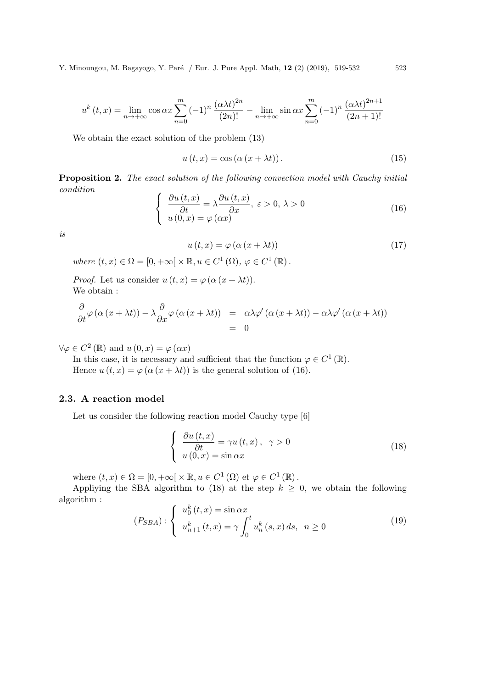$$
u^{k}(t,x) = \lim_{n \to +\infty} \cos \alpha x \sum_{n=0}^{m} (-1)^{n} \frac{(\alpha \lambda t)^{2n}}{(2n)!} - \lim_{n \to +\infty} \sin \alpha x \sum_{n=0}^{m} (-1)^{n} \frac{(\alpha \lambda t)^{2n+1}}{(2n+1)!}
$$

We obtain the exact solution of the problem (13)

$$
u(t,x) = \cos(\alpha (x + \lambda t)).
$$
\n(15)

**Proposition 2.** The exact solution of the following convection model with Cauchy initial condition

$$
\begin{cases}\n\frac{\partial u(t,x)}{\partial t} = \lambda \frac{\partial u(t,x)}{\partial x}, \ \varepsilon > 0, \ \lambda > 0 \\
u(0,x) = \varphi(\alpha x)\n\end{cases}
$$
\n(16)

is

$$
u(t,x) = \varphi\left(\alpha\left(x + \lambda t\right)\right) \tag{17}
$$

where  $(t, x) \in \Omega = [0, +\infty[ \times \mathbb{R}, u \in C^1(\Omega), \varphi \in C^1(\mathbb{R}).$ 

*Proof.* Let us consider  $u(t, x) = \varphi(\alpha (x + \lambda t)).$ We obtain :

$$
\frac{\partial}{\partial t}\varphi\left(\alpha\left(x+\lambda t\right)\right)-\lambda\frac{\partial}{\partial x}\varphi\left(\alpha\left(x+\lambda t\right)\right) = \alpha\lambda\varphi'\left(\alpha\left(x+\lambda t\right)\right)-\alpha\lambda\varphi'\left(\alpha\left(x+\lambda t\right)\right)
$$
\n
$$
= 0
$$

 $\forall \varphi \in C^2(\mathbb{R})$  and  $u(0, x) = \varphi(\alpha x)$ 

In this case, it is necessary and sufficient that the function  $\varphi \in C^1(\mathbb{R})$ . Hence  $u(t, x) = \varphi(\alpha (x + \lambda t))$  is the general solution of (16).

# 2.3. A reaction model

Let us consider the following reaction model Cauchy type [6]

$$
\begin{cases}\n\frac{\partial u(t,x)}{\partial t} = \gamma u(t,x), & \gamma > 0 \\
u(0,x) = \sin \alpha x\n\end{cases}
$$
\n(18)

where  $(t, x) \in \Omega = [0, +\infty[ \times \mathbb{R}, u \in C^1(\Omega) \text{ et } \varphi \in C^1(\mathbb{R})).$ 

Appliying the SBA algorithm to (18) at the step  $k \geq 0$ , we obtain the following algorithm :

$$
(P_{SBA}) : \begin{cases} u_0^k(t, x) = \sin \alpha x \\ u_{n+1}^k(t, x) = \gamma \int_0^t u_n^k(s, x) ds, & n \ge 0 \end{cases}
$$
 (19)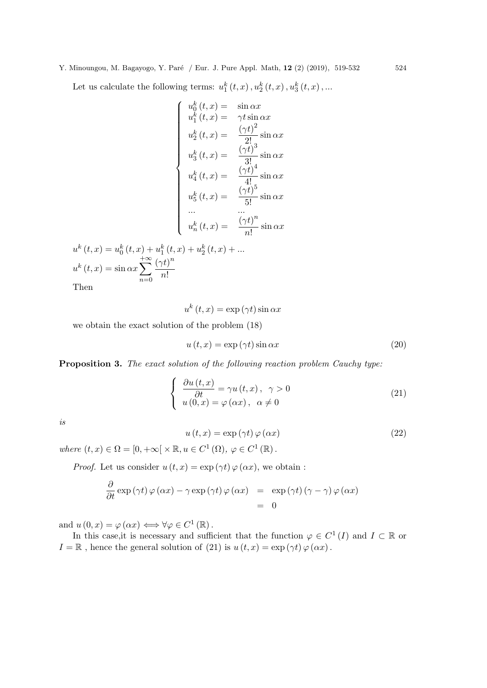Let us calculate the following terms:  $u_1^k(t,x)$ ,  $u_2^k(t,x)$ ,  $u_3^k(t,x)$ ,...

$$
\begin{cases}\nu_0^k(t,x) = \sin \alpha x \\
u_1^k(t,x) = \gamma t \sin \alpha x \\
u_2^k(t,x) = \frac{(\gamma t)^2}{2!} \sin \alpha x \\
u_3^k(t,x) = \frac{(\gamma t)^3}{3!} \sin \alpha x \\
u_4^k(t,x) = \frac{(\gamma t)^4}{4!} \sin \alpha x \\
u_5^k(t,x) = \frac{(\gamma t)^5}{5!} \sin \alpha x \\
\vdots \\
u_6^k(t,x) = \frac{(\gamma t)^5}{n!} \sin \alpha x \\
u_7^k(t,x) = \frac{(\gamma t)^n}{n!} \sin \alpha x \\
(t,x) = u_0^k(t,x) + u_1^k(t,x) + u_2^k(t,x) + \dots \\
(t,x) = \sin \alpha x \sum_{n=0}^{+\infty} \frac{(\gamma t)^n}{n!}\n\end{cases}
$$

Then

 $u^k$ 

 $u^k$ 

$$
u^{k}(t,x) = \exp\left(\gamma t\right) \sin \alpha x
$$

we obtain the exact solution of the problem (18)

$$
u(t,x) = \exp\left(\gamma t\right) \sin \alpha x \tag{20}
$$

Proposition 3. The exact solution of the following reaction problem Cauchy type:

$$
\begin{cases}\n\frac{\partial u(t,x)}{\partial t} = \gamma u(t,x), \ \gamma > 0 \\
u(0,x) = \varphi(\alpha x), \ \alpha \neq 0\n\end{cases}
$$
\n(21)

is

$$
u(t,x) = \exp(\gamma t) \varphi(\alpha x)
$$
\n(22)

where  $(t, x) \in \Omega = [0, +\infty[ \times \mathbb{R}, u \in C^1(\Omega), \varphi \in C^1(\mathbb{R}).$ 

*Proof.* Let us consider  $u(t, x) = \exp(\gamma t) \varphi(\alpha x)$ , we obtain :

$$
\frac{\partial}{\partial t} \exp(\gamma t) \varphi(\alpha x) - \gamma \exp(\gamma t) \varphi(\alpha x) = \exp(\gamma t) (\gamma - \gamma) \varphi(\alpha x) \n= 0
$$

and  $u(0, x) = \varphi(\alpha x) \Longleftrightarrow \forall \varphi \in C^1(\mathbb{R})$ .

In this case, it is necessary and sufficient that the function  $\varphi \in C^1(I)$  and  $I \subset \mathbb{R}$  or  $I = \mathbb{R}$ , hence the general solution of (21) is  $u(t, x) = \exp(\gamma t) \varphi(\alpha x)$ .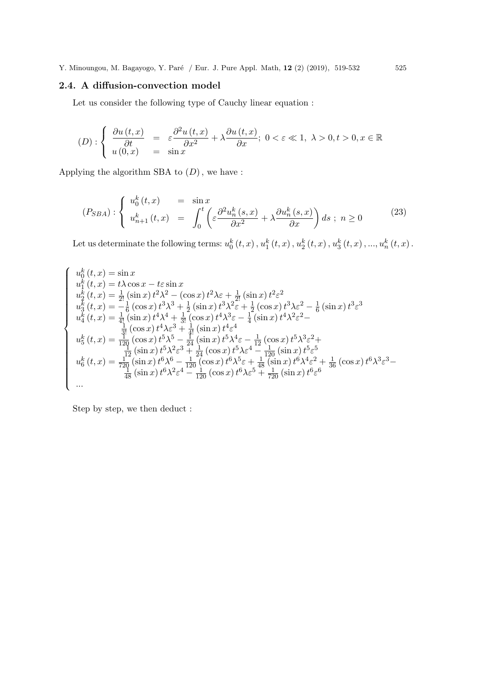# 2.4. A diffusion-convection model

Let us consider the following type of Cauchy linear equation :

$$
(D): \begin{cases} \frac{\partial u(t,x)}{\partial t} = \varepsilon \frac{\partial^2 u(t,x)}{\partial x^2} + \lambda \frac{\partial u(t,x)}{\partial x}; \ 0 < \varepsilon \ll 1, \ \lambda > 0, t > 0, x \in \mathbb{R} \\ u(0,x) = \sin x \end{cases}
$$

Applying the algorithm SBA to  $(D)\,,$  we have :

$$
(P_{SBA}) : \begin{cases} u_0^k(t,x) &= \sin x \\ u_{n+1}^k(t,x) &= \int_0^t \left( \varepsilon \frac{\partial^2 u_n^k(s,x)}{\partial x^2} + \lambda \frac{\partial u_n^k(s,x)}{\partial x} \right) ds \; ; \; n \ge 0 \end{cases} \tag{23}
$$

Let us determinate the following terms:  $u_0^k(t,x)$  ,  $u_1^k(t,x)$  ,  $u_2^k(t,x)$  ,  $u_3^k(t,x)$  , ...,  $u_n^k(t,x)$  .

$$
\begin{cases}\nu_{0}^{k}(t,x) = \sin x \\
u_{1}^{k}(t,x) = t\lambda \cos x - t\varepsilon \sin x \\
u_{2}^{k}(t,x) = \frac{1}{2!}(\sin x) t^{2}\lambda^{2} - (\cos x) t^{2}\lambda \varepsilon + \frac{1}{2!}(\sin x) t^{2}\varepsilon^{2} \\
u_{3}^{k}(t,x) = -\frac{1}{6}(\cos x) t^{3}\lambda^{3} + \frac{1}{2}(\sin x) t^{3}\lambda^{2}\varepsilon + \frac{1}{2}(\cos x) t^{3}\lambda \varepsilon^{2} - \frac{1}{6}(\sin x) t^{3}\varepsilon^{3} \\
u_{4}^{k}(t,x) = \frac{1}{4!}(\sin x) t^{4}\lambda^{4} + \frac{1}{3!}(\cos x) t^{4}\lambda^{3}\varepsilon - \frac{1}{4}(\sin x) t^{4}\lambda^{2}\varepsilon^{2} - \frac{1}{4}(\sin x) t^{3}\varepsilon^{3} \\
u_{5}^{k}(t,x) = \frac{1}{120}(\cos x) t^{4}\lambda \varepsilon^{3} + \frac{1}{4!}(\sin x) t^{4}\varepsilon^{4} \\
u_{5}^{k}(t,x) = \frac{1}{120}(\cos x) t^{5}\lambda^{5} - \frac{1}{24}(\sin x) t^{5}\lambda^{4}\varepsilon - \frac{1}{12}(\cos x) t^{5}\lambda^{3}\varepsilon^{2} + \frac{1}{120}(\sin x) t^{5}\lambda^{2}\varepsilon^{3} + \frac{1}{24}(\cos x) t^{5}\lambda \varepsilon^{4} - \frac{1}{120}(\sin x) t^{5}\varepsilon^{5} \\
u_{6}^{k}(t,x) = \frac{1}{720}(\sin x) t^{6}\lambda^{6} - \frac{1}{120}(\cos x) t^{6}\lambda^{5}\varepsilon + \frac{1}{48}(\sin x) t^{6}\lambda^{4}\varepsilon^{2} + \frac{1}{36}(\cos x) t^{6}\lambda^{3}\varepsilon^{3} - \frac{1}{48}(\sin x) t^{6}\lambda^{2}\varepsilon^{4} - \frac{1}{120}(\cos x) t^{6}\lambda \varepsilon^{5} + \frac{1}{720}(\sin x) t^{6}\varepsilon^{6} \\
\dots\n\end{cases}
$$

Step by step, we then deduct :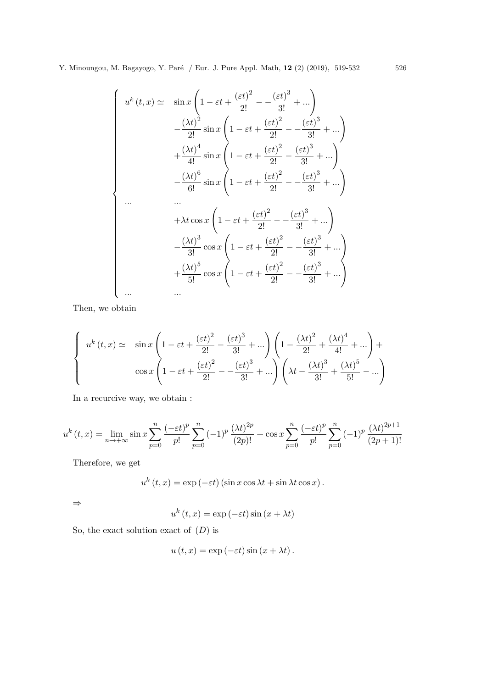$$
\begin{cases}\nu^{k}(t,x) \simeq & \sin x \left(1 - \varepsilon t + \frac{(\varepsilon t)^{2}}{2!} - \frac{(\varepsilon t)^{3}}{3!} + \cdots \right) \\
& - \frac{(\lambda t)^{2}}{2!} \sin x \left(1 - \varepsilon t + \frac{(\varepsilon t)^{2}}{2!} - \frac{(\varepsilon t)^{3}}{3!} + \cdots \right) \\
& + \frac{(\lambda t)^{4}}{4!} \sin x \left(1 - \varepsilon t + \frac{(\varepsilon t)^{2}}{2!} - \frac{(\varepsilon t)^{3}}{3!} + \cdots \right) \\
& - \frac{(\lambda t)^{6}}{6!} \sin x \left(1 - \varepsilon t + \frac{(\varepsilon t)^{2}}{2!} - \frac{(\varepsilon t)^{3}}{3!} + \cdots \right) \\
& \cdots \\
& + \lambda t \cos x \left(1 - \varepsilon t + \frac{(\varepsilon t)^{2}}{2!} - \frac{(\varepsilon t)^{3}}{3!} + \cdots \right) \\
& - \frac{(\lambda t)^{3}}{3!} \cos x \left(1 - \varepsilon t + \frac{(\varepsilon t)^{2}}{2!} - \frac{(\varepsilon t)^{3}}{3!} + \cdots \right) \\
& + \frac{(\lambda t)^{5}}{5!} \cos x \left(1 - \varepsilon t + \frac{(\varepsilon t)^{2}}{2!} - \frac{(\varepsilon t)^{3}}{3!} + \cdots \right) \\
& \cdots \\
& \cdots\n\end{cases}
$$

Then, we obtain

$$
\begin{cases}\nu^{k}(t,x) \simeq & \sin x \left(1 - \varepsilon t + \frac{(\varepsilon t)^{2}}{2!} - \frac{(\varepsilon t)^{3}}{3!} + \cdots \right) \left(1 - \frac{(\lambda t)^{2}}{2!} + \frac{(\lambda t)^{4}}{4!} + \cdots \right) + \\ & \cos x \left(1 - \varepsilon t + \frac{(\varepsilon t)^{2}}{2!} - \frac{(\varepsilon t)^{3}}{3!} + \cdots \right) \left(\lambda t - \frac{(\lambda t)^{3}}{3!} + \frac{(\lambda t)^{5}}{5!} - \cdots \right)\end{cases}
$$

In a recurcive way, we obtain :

$$
u^{k}(t,x) = \lim_{n \to +\infty} \sin x \sum_{p=0}^{n} \frac{(-\varepsilon t)^{p}}{p!} \sum_{p=0}^{n} (-1)^{p} \frac{(\lambda t)^{2p}}{(2p)!} + \cos x \sum_{p=0}^{n} \frac{(-\varepsilon t)^{p}}{p!} \sum_{p=0}^{n} (-1)^{p} \frac{(\lambda t)^{2p+1}}{(2p+1)!}
$$

Therefore, we get

$$
u^{k}(t,x) = \exp(-\varepsilon t) (\sin x \cos \lambda t + \sin \lambda t \cos x).
$$

⇒

$$
u^{k}(t,x) = \exp(-\varepsilon t)\sin(x + \lambda t)
$$

So, the exact solution exact of  $(D)$  is

$$
u(t, x) = \exp(-\varepsilon t) \sin(x + \lambda t).
$$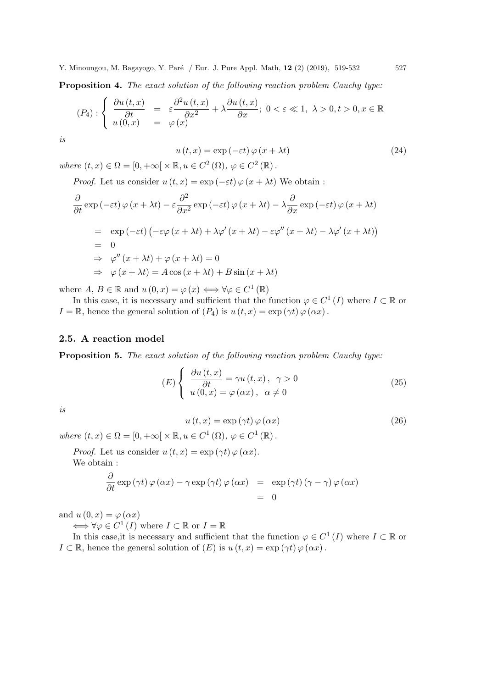Proposition 4. The exact solution of the following reaction problem Cauchy type:

$$
(P_4): \begin{cases} \frac{\partial u(t,x)}{\partial t} = \varepsilon \frac{\partial^2 u(t,x)}{\partial x^2} + \lambda \frac{\partial u(t,x)}{\partial x}; \ 0 < \varepsilon \ll 1, \ \lambda > 0, t > 0, x \in \mathbb{R} \\ u(0,x) = \varphi(x) \end{cases}
$$

is

$$
u(t,x) = \exp(-\varepsilon t) \varphi(x + \lambda t)
$$
\n(24)

where  $(t, x) \in \Omega = [0, +\infty[ \times \mathbb{R}, u \in C^2(\Omega), \varphi \in C^2(\mathbb{R}).$ 

*Proof.* Let us consider  $u(t, x) = \exp(-\varepsilon t) \varphi(x + \lambda t)$  We obtain :

$$
\frac{\partial}{\partial t} \exp(-\varepsilon t) \varphi(x + \lambda t) - \varepsilon \frac{\partial^2}{\partial x^2} \exp(-\varepsilon t) \varphi(x + \lambda t) - \lambda \frac{\partial}{\partial x} \exp(-\varepsilon t) \varphi(x + \lambda t)
$$
\n
$$
= \exp(-\varepsilon t) \left( -\varepsilon \varphi(x + \lambda t) + \lambda \varphi'(x + \lambda t) - \varepsilon \varphi''(x + \lambda t) - \lambda \varphi'(x + \lambda t) \right)
$$
\n
$$
= 0
$$
\n
$$
\Rightarrow \varphi''(x + \lambda t) + \varphi(x + \lambda t) = 0
$$
\n
$$
\Rightarrow \varphi(x + \lambda t) = A \cos(x + \lambda t) + B \sin(x + \lambda t)
$$

where  $A, B \in \mathbb{R}$  and  $u(0, x) = \varphi(x) \iff \forall \varphi \in C^1(\mathbb{R})$ 

In this case, it is necessary and sufficient that the function  $\varphi \in C^1(I)$  where  $I \subset \mathbb{R}$  or  $I = \mathbb{R}$ , hence the general solution of  $(P_4)$  is  $u(t, x) = \exp(\gamma t) \varphi(\alpha x)$ .

# 2.5. A reaction model

Proposition 5. The exact solution of the following reaction problem Cauchy type:

$$
(E)\begin{cases} \frac{\partial u(t,x)}{\partial t} = \gamma u(t,x), & \gamma > 0\\ u(0,x) = \varphi(\alpha x), & \alpha \neq 0 \end{cases}
$$
\n(25)

is

$$
u(t,x) = \exp(\gamma t) \varphi(\alpha x)
$$
\n(26)

where  $(t, x) \in \Omega = [0, +\infty[ \times \mathbb{R}, u \in C^1(\Omega), \varphi \in C^1(\mathbb{R}).$ 

*Proof.* Let us consider  $u(t, x) = \exp(\gamma t) \varphi(\alpha x)$ .

We obtain :

$$
\frac{\partial}{\partial t} \exp(\gamma t) \varphi(\alpha x) - \gamma \exp(\gamma t) \varphi(\alpha x) = \exp(\gamma t) (\gamma - \gamma) \varphi(\alpha x) \n= 0
$$

and  $u(0, x) = \varphi(\alpha x)$ 

 $\Longleftrightarrow \forall \varphi \in C^1(I)$  where  $I \subset \mathbb{R}$  or  $I = \mathbb{R}$ 

In this case, it is necessary and sufficient that the function  $\varphi \in C^1(I)$  where  $I \subset \mathbb{R}$  or  $I \subset \mathbb{R}$ , hence the general solution of  $(E)$  is  $u(t, x) = \exp(\gamma t) \varphi(\alpha x)$ .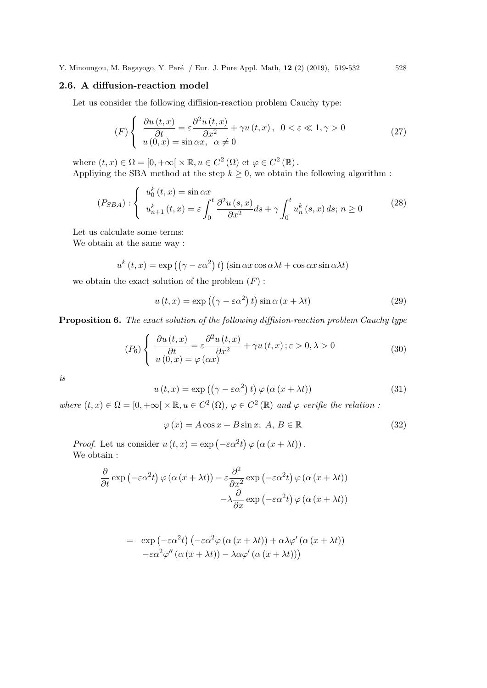## 2.6. A diffusion-reaction model

Let us consider the following diffision-reaction problem Cauchy type:

$$
(F)\begin{cases} \frac{\partial u(t,x)}{\partial t} = \varepsilon \frac{\partial^2 u(t,x)}{\partial x^2} + \gamma u(t,x), & 0 < \varepsilon \ll 1, \gamma > 0\\ u(0,x) = \sin \alpha x, & \alpha \neq 0 \end{cases}
$$
(27)

where  $(t, x) \in \Omega = [0, +\infty[ \times \mathbb{R}, u \in C^2(\Omega) \text{ et } \varphi \in C^2(\mathbb{R}).$ Appliying the SBA method at the step  $k \geq 0$ , we obtain the following algorithm :

$$
(P_{SBA}) : \begin{cases} u_0^k(t,x) = \sin \alpha x \\ u_{n+1}^k(t,x) = \varepsilon \int_0^t \frac{\partial^2 u(s,x)}{\partial x^2} ds + \gamma \int_0^t u_n^k(s,x) ds; \ n \ge 0 \end{cases} \tag{28}
$$

Let us calculate some terms:

We obtain at the same way :

$$
u^{k}(t,x) = \exp((\gamma - \varepsilon \alpha^{2}) t) (\sin \alpha x \cos \alpha \lambda t + \cos \alpha x \sin \alpha \lambda t)
$$

we obtain the exact solution of the problem  $(F)$ :

$$
u(t,x) = \exp((\gamma - \varepsilon \alpha^2) t) \sin \alpha (x + \lambda t)
$$
\n(29)

Proposition 6. The exact solution of the following diffision-reaction problem Cauchy type

$$
(P_6)\begin{cases} \frac{\partial u(t,x)}{\partial t} = \varepsilon \frac{\partial^2 u(t,x)}{\partial x^2} + \gamma u(t,x); \varepsilon > 0, \lambda > 0\\ u(0,x) = \varphi(\alpha x) \end{cases}
$$
(30)

is

$$
u(t,x) = \exp((\gamma - \varepsilon \alpha^2) t) \varphi(\alpha (x + \lambda t))
$$
\n(31)

where  $(t, x) \in \Omega = [0, +\infty[ \times \mathbb{R}, u \in C^2(\Omega), \varphi \in C^2(\mathbb{R})]$  and  $\varphi$  verifie the relation:

$$
\varphi(x) = A\cos x + B\sin x; \ A, B \in \mathbb{R}
$$
\n(32)

*Proof.* Let us consider  $u(t, x) = \exp(-\varepsilon \alpha^2 t) \varphi(\alpha (x + \lambda t)).$ We obtain :

$$
\frac{\partial}{\partial t} \exp(-\varepsilon \alpha^2 t) \varphi(\alpha (x + \lambda t)) - \varepsilon \frac{\partial^2}{\partial x^2} \exp(-\varepsilon \alpha^2 t) \varphi(\alpha (x + \lambda t)) \n- \lambda \frac{\partial}{\partial x} \exp(-\varepsilon \alpha^2 t) \varphi(\alpha (x + \lambda t))
$$

$$
= \exp(-\varepsilon \alpha^2 t) (-\varepsilon \alpha^2 \varphi (\alpha (x + \lambda t)) + \alpha \lambda \varphi' (\alpha (x + \lambda t))
$$
  

$$
-\varepsilon \alpha^2 \varphi'' (\alpha (x + \lambda t)) - \lambda \alpha \varphi' (\alpha (x + \lambda t)))
$$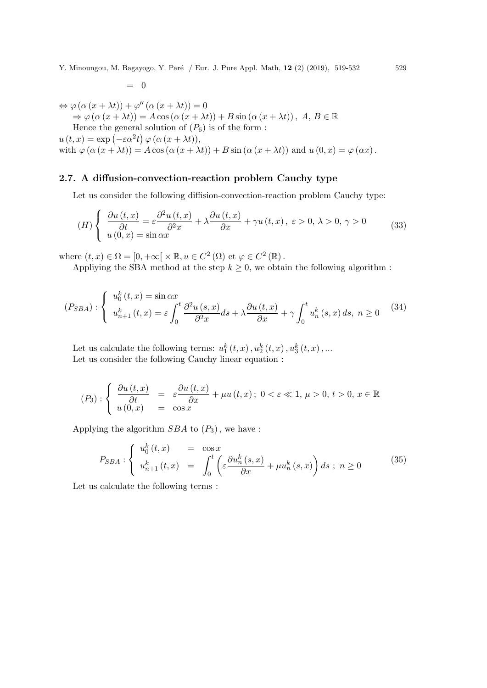$\Leftrightarrow \varphi\left(\alpha\left(x+\lambda t\right)\right)+\varphi''\left(\alpha\left(x+\lambda t\right)\right)=0$  $\Rightarrow \varphi(\alpha(x + \lambda t)) = A \cos(\alpha(x + \lambda t)) + B \sin(\alpha(x + \lambda t)), A, B \in \mathbb{R}$ Hence the general solution of  $(P_6)$  is of the form :  $u(t, x) = \exp(-\varepsilon \alpha^2 t) \varphi(\alpha (x + \lambda t)),$ with  $\varphi(\alpha(x + \lambda t)) = A \cos(\alpha(x + \lambda t)) + B \sin(\alpha(x + \lambda t))$  and  $u(0, x) = \varphi(\alpha x)$ .

# 2.7. A diffusion-convection-reaction problem Cauchy type

Let us consider the following diffision-convection-reaction problem Cauchy type:

$$
(H) \begin{cases} \frac{\partial u(t,x)}{\partial t} = \varepsilon \frac{\partial^2 u(t,x)}{\partial t^2} + \lambda \frac{\partial u(t,x)}{\partial x} + \gamma u(t,x), \ \varepsilon > 0, \ \lambda > 0, \ \gamma > 0\\ u(0,x) = \sin \alpha x \end{cases}
$$
(33)

where  $(t, x) \in \Omega = [0, +\infty[ \times \mathbb{R}, u \in C^2(\Omega) \text{ et } \varphi \in C^2(\mathbb{R}).$ 

 $= 0$ 

Appliying the SBA method at the step  $k \geq 0$ , we obtain the following algorithm:

$$
(P_{SBA}) : \begin{cases} u_0^k(t,x) = \sin \alpha x \\ u_{n+1}^k(t,x) = \varepsilon \int_0^t \frac{\partial^2 u(s,x)}{\partial^2 x} ds + \lambda \frac{\partial u(t,x)}{\partial x} + \gamma \int_0^t u_n^k(s,x) ds, \ n \ge 0 \end{cases}
$$
 (34)

Let us calculate the following terms:  $u_1^k(t,x)$ ,  $u_2^k(t,x)$ ,  $u_3^k(t,x)$ ,... Let us consider the following Cauchy linear equation :

$$
(P_3): \begin{cases} \frac{\partial u(t,x)}{\partial t} = \varepsilon \frac{\partial u(t,x)}{\partial x} + \mu u(t,x); \ 0 < \varepsilon \ll 1, \ \mu > 0, \ t > 0, \ x \in \mathbb{R} \\ u(0,x) = \cos x \end{cases}
$$

Applying the algorithm  $SBA$  to  $(P_3)$ , we have :

$$
P_{SBA}: \begin{cases} u_0^k(t,x) &= \cos x \\ u_{n+1}^k(t,x) &= \int_0^t \left( \varepsilon \frac{\partial u_n^k(s,x)}{\partial x} + \mu u_n^k(s,x) \right) ds \; ; \; n \ge 0 \end{cases} \tag{35}
$$

Let us calculate the following terms :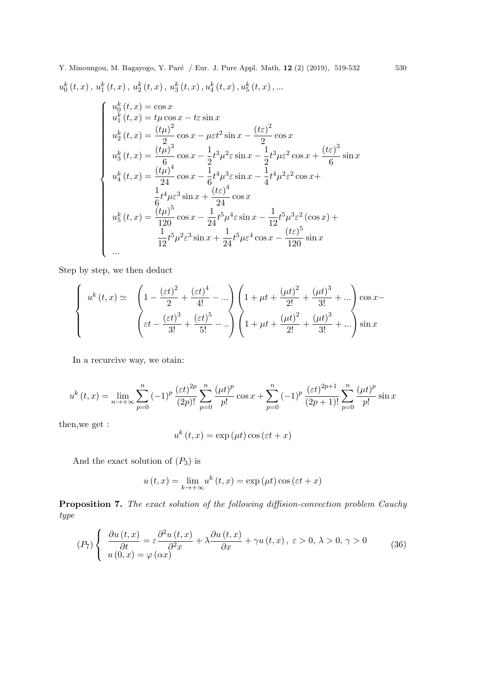Y. Minoungou, M. Bagayogo, Y. Paré / Eur. J. Pure Appl. Math, 12 (2) (2019), 519-532 530  $u_{0}^{k}\left( t,x\right) ,\,u_{1}^{k}\left( t,x\right) ,\,u_{2}^{k}\left( t,x\right) ,\,u_{3}^{k}\left( t,x\right) ,u_{4}^{k}\left( t,x\right) ,u_{5}^{k}\left( t,x\right) ,...$ 

$$
\begin{cases}\nu_0^k(t,x) = \cos x \\
u_1^k(t,x) = t\mu \cos x - t\varepsilon \sin x \\
u_2^k(t,x) = \frac{(t\mu)^2}{2} \cos x - \mu\varepsilon t^2 \sin x - \frac{(t\varepsilon)^2}{2} \cos x \\
u_3^k(t,x) = \frac{(t\mu)^3}{6} \cos x - \frac{1}{2}t^3\mu^2\varepsilon \sin x - \frac{1}{2}t^3\mu\varepsilon^2 \cos x + \frac{(t\varepsilon)^3}{6} \sin x \\
u_4^k(t,x) = \frac{(t\mu)^4}{24} \cos x - \frac{1}{6}t^4\mu^3\varepsilon \sin x - \frac{1}{4}t^4\mu^2\varepsilon^2 \cos x + \frac{1}{6}t^4\mu\varepsilon^3 \sin x + \frac{(t\varepsilon)^4}{24} \cos x \\
u_5^k(t,x) = \frac{(t\mu)^5}{120} \cos x - \frac{1}{24}t^5\mu^4\varepsilon \sin x - \frac{1}{12}t^5\mu^3\varepsilon^2 (\cos x) + \frac{1}{12}t^5\mu^2\varepsilon^3 \sin x + \frac{1}{24}t^5\mu\varepsilon^4 \cos x - \frac{(t\varepsilon)^5}{120} \sin x \\
\ldots\n\end{cases}
$$

Step by step, we then deduct

$$
\begin{cases}\nu^{k}(t,x) \simeq \quad & \left(1 - \frac{(\varepsilon t)^{2}}{2} + \frac{(\varepsilon t)^{4}}{4!} - \dots\right) \left(1 + \mu t + \frac{(\mu t)^{2}}{2!} + \frac{(\mu t)^{3}}{3!} + \dots\right) \cos x - \left(\varepsilon t - \frac{(\varepsilon t)^{3}}{3!} + \frac{(\varepsilon t)^{5}}{5!} - \dots\right) \left(1 + \mu t + \frac{(\mu t)^{2}}{2!} + \frac{(\mu t)^{3}}{3!} + \dots\right) \sin x\n\end{cases}
$$

In a recurcive way, we otain:

$$
u^{k}(t,x) = \lim_{n \to +\infty} \sum_{p=0}^{n} (-1)^{p} \frac{(\varepsilon t)^{2p}}{(2p)!} \sum_{p=0}^{n} \frac{(\mu t)^{p}}{p!} \cos x + \sum_{p=0}^{n} (-1)^{p} \frac{(\varepsilon t)^{2p+1}}{(2p+1)!} \sum_{p=0}^{n} \frac{(\mu t)^{p}}{p!} \sin x
$$

then,we get :

$$
u^{k}(t,x) = \exp(\mu t)\cos(\varepsilon t + x)
$$

And the exact solution of  $(P_3)$  is

$$
u(t,x) = \lim_{k \to +\infty} u^k(t,x) = \exp(\mu t) \cos(\varepsilon t + x)
$$

Proposition 7. The exact solution of the following diffision-convection problem Cauchy type

$$
(P_7)\left\{\begin{array}{l}\frac{\partial u(t,x)}{\partial t} = \varepsilon \frac{\partial^2 u(t,x)}{\partial x^2} + \lambda \frac{\partial u(t,x)}{\partial x} + \gamma u(t,x), \ \varepsilon > 0, \ \lambda > 0, \ \gamma > 0\\ u(0,x) = \varphi(\alpha x)\end{array}\right. \tag{36}
$$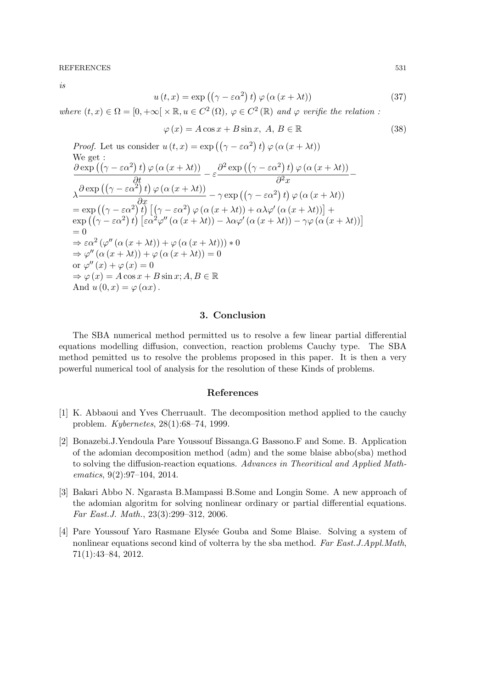REFERENCES 531

is

$$
u(t,x) = \exp((\gamma - \varepsilon \alpha^2) t) \varphi(\alpha (x + \lambda t))
$$
\n(37)

where  $(t, x) \in \Omega = [0, +\infty[ \times \mathbb{R}, u \in C^2(\Omega), \varphi \in C^2(\mathbb{R})]$  and  $\varphi$  verifie the relation:

$$
\varphi(x) = A\cos x + B\sin x, \ A, B \in \mathbb{R}
$$
\n(38)

*Proof.* Let us consider 
$$
u(t, x) = \exp((\gamma - \varepsilon \alpha^2) t) \varphi(\alpha (x + \lambda t))
$$
  
\nWe get :  
\n
$$
\frac{\partial \exp((\gamma - \varepsilon \alpha^2) t) \varphi(\alpha (x + \lambda t))}{\partial t} - \varepsilon \frac{\partial^2 \exp((\gamma - \varepsilon \alpha^2) t) \varphi(\alpha (x + \lambda t))}{\partial^2 x} - \lambda \frac{\partial \exp((\gamma - \varepsilon \alpha^2) t) \varphi(\alpha (x + \lambda t))}{\partial x} - \gamma \exp((\gamma - \varepsilon \alpha^2) t) \varphi(\alpha (x + \lambda t))}
$$
\n
$$
= \exp((\gamma - \varepsilon \alpha^2) t) [(\gamma - \varepsilon \alpha^2) \varphi(\alpha (x + \lambda t)) + \alpha \lambda \varphi'(\alpha (x + \lambda t))] + \exp((\gamma - \varepsilon \alpha^2) t) [\varepsilon \alpha^2 \varphi''(\alpha (x + \lambda t)) - \lambda \alpha \varphi'(\alpha (x + \lambda t)) - \gamma \varphi(\alpha (x + \lambda t)))]
$$
\n
$$
= 0
$$
\n
$$
\Rightarrow \varepsilon \alpha^2 (\varphi''(\alpha (x + \lambda t)) + \varphi(\alpha (x + \lambda t))) * 0
$$
\n
$$
\Rightarrow \varphi''(\alpha (x + \lambda t)) + \varphi(\alpha (x + \lambda t)) = 0
$$
\nor  $\varphi''(x) + \varphi(x) = 0$   
\nor  $\varphi''(x) + \varphi(x) = 0$   
\n
$$
\Rightarrow \varphi(x) = A \cos x + B \sin x; A, B \in \mathbb{R}
$$
  
\nAnd  $u(0, x) = \varphi(\alpha x)$ .

# 3. Conclusion

The SBA numerical method permitted us to resolve a few linear partial differential equations modelling diffusion, convection, reaction problems Cauchy type. The SBA method pemitted us to resolve the problems proposed in this paper. It is then a very powerful numerical tool of analysis for the resolution of these Kinds of problems.

# References

- [1] K. Abbaoui and Yves Cherruault. The decomposition method applied to the cauchy problem. Kybernetes, 28(1):68–74, 1999.
- [2] Bonazebi.J.Yendoula Pare Youssouf Bissanga.G Bassono.F and Some. B. Application of the adomian decomposition method (adm) and the some blaise abbo(sba) method to solving the diffusion-reaction equations. Advances in Theoritical and Applied Mathematics, 9(2):97–104, 2014.
- [3] Bakari Abbo N. Ngarasta B.Mampassi B.Some and Longin Some. A new approach of the adomian algoritm for solving nonlinear ordinary or partial differential equations. Far East.J. Math., 23(3):299–312, 2006.
- [4] Pare Youssouf Yaro Rasmane Elys´ee Gouba and Some Blaise. Solving a system of nonlinear equations second kind of volterra by the sba method. Far East.J.Appl.Math, 71(1):43–84, 2012.